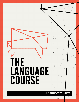## THE<br>LANGUAGE<br>COURSE

0.2 INTRO WITH MAT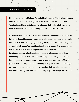## 0.2 INTRO WITH MATT

Hey there, my name's Matt and I'm part of the Connexion Training team. I'm one of the coaches, and I'm an English teacher that's worked with Connexion Training in the States and abroad. I'm a teacher that works with SLA and I've been teaching SLA for the last seven years with Connexion Training.

Welcome to this course. This is the Fundamentals Language Course where we talk about Second Language Acquisition and how you can implement principles from that in to your own language learning. Really quick, a couple of things that we want to talk about: You need to set goals in a language. This course comes to life if you're able to actually implement it with a language. So as the introductory session talked about setting goals in a language, identifying a language you want to learn, it's important that you start doing that now. Start thinking about *what language do I want to learn* and *what am I willing to give to learn it*. And you can think about specific goals as well. To what degree do you want to learn the language? It's important that you take it seriously so that you can put together your system of study as you go through the sessions.